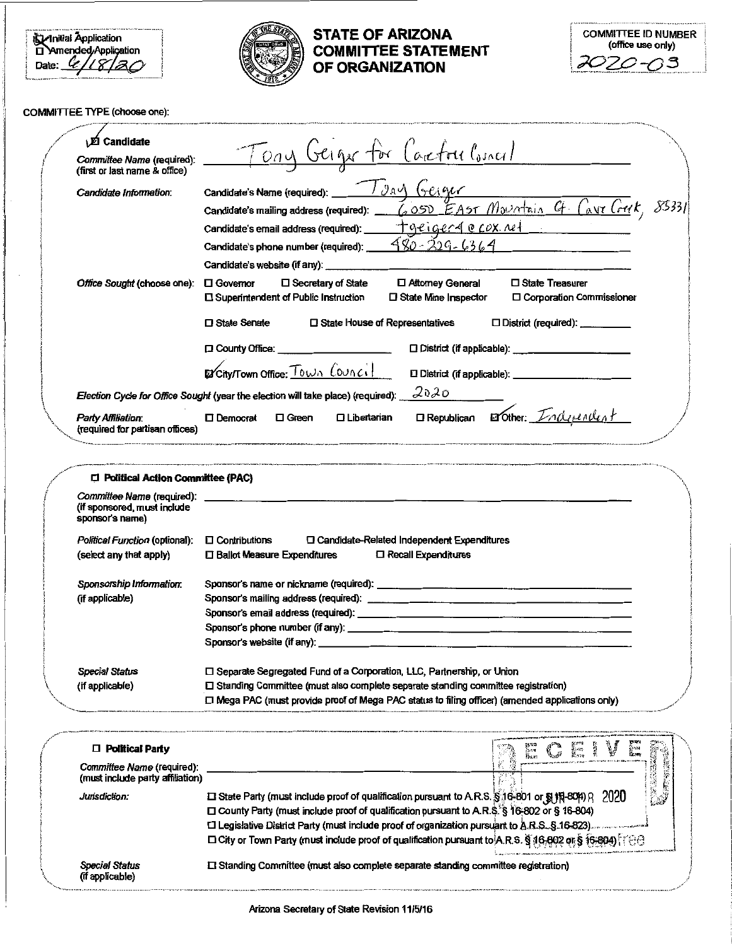$\begin{array}{l} \hline \text{Animal Application} \\ \Box \text{Amended/Application} \\ \text{Date: } \begin{array}{l} \mathcal{L} \end{array} / \begin{array}{l} \mathcal{L} \end{array} \end{array}$ 



# **STATE OF ARIZONA COMMITTEE STATEMENT** OF ORGANIZATION

| <b>COMMITTEE ID NUMBER</b><br>(office use only) |  |
|-------------------------------------------------|--|
| 2020-03                                         |  |

### COMMITTEE TYPE (choose one):

| Committee Name (required):                                                                                         | <u>Tony Geiger for</u><br>Carefou Corner/                                                                                                                                                                                                                                                                                                    |
|--------------------------------------------------------------------------------------------------------------------|----------------------------------------------------------------------------------------------------------------------------------------------------------------------------------------------------------------------------------------------------------------------------------------------------------------------------------------------|
| (first or last name & office)                                                                                      |                                                                                                                                                                                                                                                                                                                                              |
| Candidate Information:                                                                                             | Candidate's Name (required): 7 gav (resigned<br>6050 EAST Mountain G Cavi Crut,                                                                                                                                                                                                                                                              |
|                                                                                                                    | Candidate's mailing address (required): _                                                                                                                                                                                                                                                                                                    |
|                                                                                                                    | $+$ geiger $4$ e cox net<br>Candidate's email address (required): __                                                                                                                                                                                                                                                                         |
|                                                                                                                    | <u>980 - 229 - 6364 -</u><br>Candidate's phone number (required):                                                                                                                                                                                                                                                                            |
|                                                                                                                    |                                                                                                                                                                                                                                                                                                                                              |
| Office Sought (choose one):                                                                                        | □ State Treasurer<br>口 Attomey General<br>$\square$ Governor<br>□ Secretary of State<br>□ Corporation Commissioner<br>□ Superintendent of Public Instruction<br>□ State Mine Inspector                                                                                                                                                       |
|                                                                                                                    | □ State Senate<br>□ State House of Representatives<br>$\Box$ District (required): __________                                                                                                                                                                                                                                                 |
|                                                                                                                    | [ County Office: ______________________                                                                                                                                                                                                                                                                                                      |
|                                                                                                                    | EXCITY/TOWN Office: TOWN COUNCIL                                                                                                                                                                                                                                                                                                             |
|                                                                                                                    |                                                                                                                                                                                                                                                                                                                                              |
|                                                                                                                    | 2020<br>Election Cycle for Office Sought (year the election will take place) (required):                                                                                                                                                                                                                                                     |
| Party Affikation:<br>(required for partisan offices)                                                               | <b>ORepublican</b> Erother: <i>Indivendent</i><br>$\square$ Libertarian<br>□ Democrat<br>$\Box$ Green                                                                                                                                                                                                                                        |
| sponsor's name)<br>Political Function (optional):                                                                  | □ Candidate-Related Independent Expenditures<br>$\square$ Contributions                                                                                                                                                                                                                                                                      |
| (select any that apply)<br>Sponsorship Information:<br>(if applicable)<br><b>Special Status</b><br>(if applicable) | □ Ballot Measure Expenditures<br><b>1 Recall Expenditures</b><br>□ Separate Segregated Fund of a Corporation, LLC, Partnership, or Union<br>$\square$ Standing Committee (must also complete separate standing committee registration)<br>[1] Mega PAC (must provide proof of Mega PAC status to filing officer) (amended applications only) |
|                                                                                                                    |                                                                                                                                                                                                                                                                                                                                              |
| □ Political Party                                                                                                  | $\frac{1}{2}$ and $\frac{1}{2}$<br>1.25                                                                                                                                                                                                                                                                                                      |
| Committee Name (required):<br>(must include party affiliation)                                                     |                                                                                                                                                                                                                                                                                                                                              |
| Jurisdiction:                                                                                                      | $\square$ State Party (must include proof of qualification pursuant to A.R.S. § 16-801 or § 16-804) Q 2020                                                                                                                                                                                                                                   |
|                                                                                                                    | □ County Party (must include proof of qualification pursuant to A.R.\$.'\$ 16-802 or § 16-804)                                                                                                                                                                                                                                               |
|                                                                                                                    | □ Legislative District Party (must include proof of organization pursuant to A.R.S. § 16-823).<br>□ City or Town Party (must include proof of qualification pursuant to A.R.S. § 16.802 or § 16.804)                                                                                                                                         |